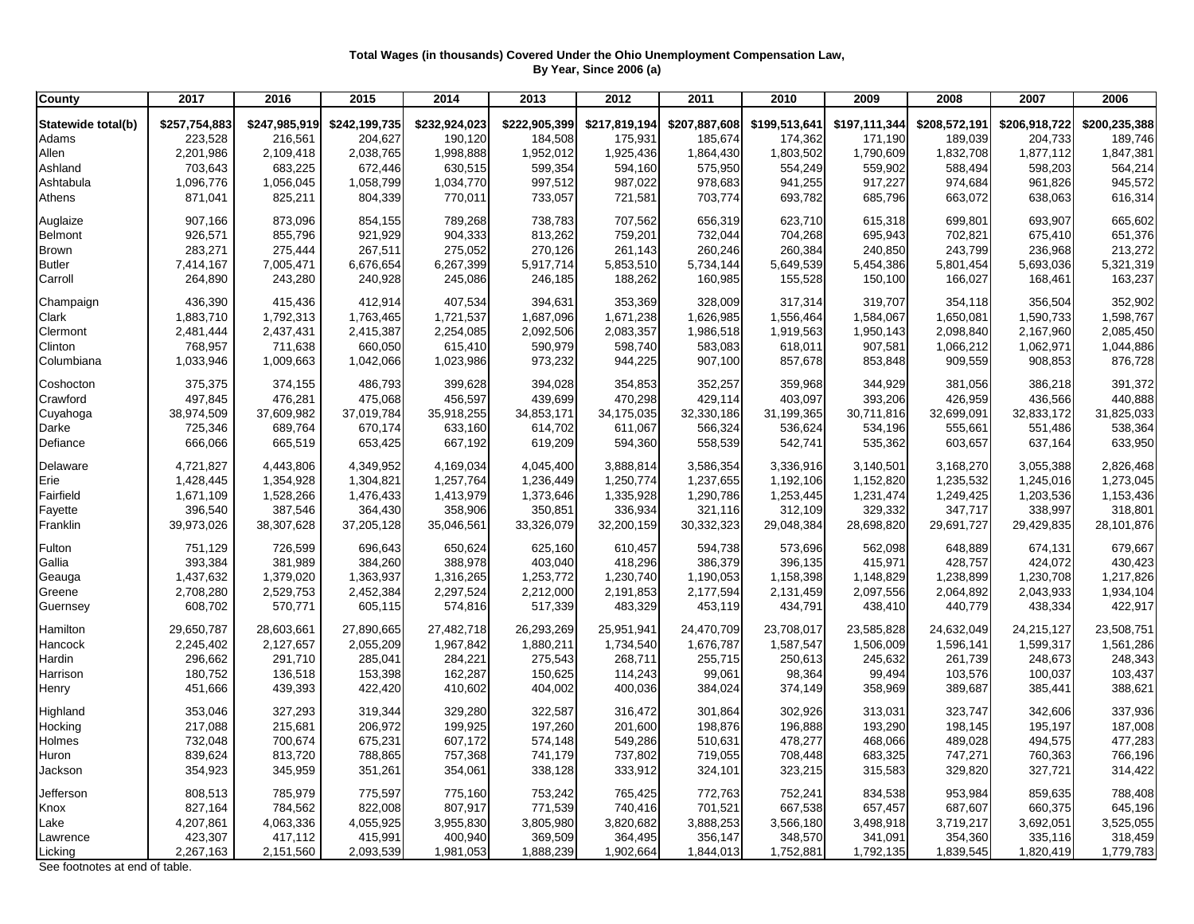## **Total Wages (in thousands) Covered Under the Ohio Unemployment Compensation Law, By Year, Since 2006 (a)**

| County                        | 2017          | 2016          | 2015          | 2014          | 2013          | 2012          | 2011          | 2010          | 2009          | 2008          | 2007          | 2006          |
|-------------------------------|---------------|---------------|---------------|---------------|---------------|---------------|---------------|---------------|---------------|---------------|---------------|---------------|
| Statewide total(b)            | \$257,754,883 | \$247,985,919 | \$242,199,735 | \$232,924,023 | \$222,905,399 | \$217,819,194 | \$207,887,608 | \$199,513,641 | \$197,111,344 | \$208,572,191 | \$206,918,722 | \$200,235,388 |
| Adams                         | 223,528       | 216,561       | 204,627       | 190,120       | 184,508       | 175,931       | 185,674       | 174,362       | 171,190       | 189,039       | 204,733       | 189,746       |
| Allen                         | 2,201,986     | 2,109,418     | 2,038,765     | 1,998,888     | 1,952,012     | 1,925,436     | 1,864,430     | 1,803,502     | 1,790,609     | 1,832,708     | 1,877,112     | 1,847,381     |
| Ashland                       | 703,643       | 683,225       | 672,446       | 630,515       | 599,354       | 594,160       | 575,950       | 554,249       | 559,902       | 588,494       | 598,203       | 564,214       |
| Ashtabula                     | 1,096,776     | 1,056,045     | 1,058,799     | 1,034,770     | 997,512       | 987,022       | 978,683       | 941,255       | 917,227       | 974,684       | 961,826       | 945,572       |
| Athens                        | 871,041       | 825,211       | 804,339       | 770,011       | 733,057       | 721,581       | 703,774       | 693,782       | 685,796       | 663,072       | 638,063       | 616,314       |
|                               |               |               |               |               |               |               |               |               |               |               |               |               |
| Auglaize                      | 907,166       | 873,096       | 854,155       | 789,268       | 738,783       | 707,562       | 656,319       | 623,710       | 615,318       | 699,801       | 693,907       | 665,602       |
| Belmont                       | 926,571       | 855,796       | 921,929       | 904,333       | 813,262       | 759,201       | 732,044       | 704,268       | 695,943       | 702,821       | 675,410       | 651,376       |
| <b>Brown</b>                  | 283,271       | 275,444       | 267,511       | 275,052       | 270,126       | 261,143       | 260,246       | 260,384       | 240,850       | 243,799       | 236,968       | 213,272       |
| <b>Butler</b>                 | 7,414,167     | 7,005,471     | 6,676,654     | 6,267,399     | 5,917,714     | 5,853,510     | 5,734,144     | 5,649,539     | 5,454,386     | 5,801,454     | 5,693,036     | 5,321,319     |
| Carroll                       | 264,890       | 243,280       | 240,928       | 245,086       | 246,185       | 188,262       | 160,985       | 155,528       | 150,100       | 166,027       | 168,461       | 163,237       |
| Champaign                     | 436,390       | 415,436       | 412,914       | 407,534       | 394,631       | 353,369       | 328,009       | 317,314       | 319,707       | 354,118       | 356,504       | 352,902       |
| Clark                         | 1,883,710     | 1,792,313     | 1,763,465     | 1,721,537     | 1,687,096     | 1,671,238     | 1,626,985     | 1,556,464     | 1,584,067     | 1,650,081     | 1,590,733     | 1,598,767     |
| Clermont                      | 2,481,444     | 2,437,431     | 2,415,387     | 2,254,085     | 2,092,506     | 2,083,357     | 1,986,518     | 1,919,563     | 1,950,143     | 2,098,840     | 2,167,960     | 2,085,450     |
| Clinton                       | 768,957       | 711,638       | 660,050       | 615,410       | 590,979       | 598,740       | 583,083       | 618,011       | 907,581       | 1,066,212     | 1,062,971     | 1,044,886     |
| Columbiana                    | 1,033,946     | 1,009,663     | 1,042,066     | 1,023,986     | 973,232       | 944,225       | 907,100       | 857,678       | 853,848       | 909,559       | 908,853       | 876,728       |
|                               |               |               |               |               |               |               |               |               |               |               |               |               |
| Coshocton                     | 375,375       | 374,155       | 486,793       | 399,628       | 394,028       | 354,853       | 352,257       | 359,968       | 344,929       | 381,056       | 386,218       | 391,372       |
| Crawford                      | 497,845       | 476,281       | 475,068       | 456,597       | 439,699       | 470,298       | 429,114       | 403,097       | 393,206       | 426,959       | 436,566       | 440,888       |
| Cuyahoga                      | 38,974,509    | 37,609,982    | 37,019,784    | 35,918,255    | 34,853,171    | 34,175,035    | 32,330,186    | 31,199,365    | 30,711,816    | 32,699,091    | 32,833,172    | 31,825,033    |
| Darke                         | 725,346       | 689,764       | 670,174       | 633,160       | 614,702       | 611,067       | 566,324       | 536,624       | 534,196       | 555,661       | 551,486       | 538,364       |
| Defiance                      | 666,066       | 665,519       | 653,425       | 667,192       | 619,209       | 594,360       | 558,539       | 542,741       | 535,362       | 603,657       | 637,164       | 633,950       |
| Delaware                      | 4,721,827     | 4,443,806     | 4,349,952     | 4,169,034     | 4,045,400     | 3,888,814     | 3,586,354     | 3,336,916     | 3,140,501     | 3,168,270     | 3,055,388     | 2,826,468     |
| Erie                          | 1,428,445     | 1,354,928     | 1,304,821     | 1,257,764     | 1,236,449     | 1,250,774     | 1,237,655     | 1,192,106     | 1,152,820     | 1,235,532     | 1,245,016     | 1,273,045     |
| Fairfield                     | 1,671,109     | 1,528,266     | 1,476,433     | 1,413,979     | 1,373,646     | 1,335,928     | 1,290,786     | 1,253,445     | 1,231,474     | 1,249,425     | 1,203,536     | 1,153,436     |
| Fayette                       | 396,540       | 387,546       | 364,430       | 358,906       | 350,851       | 336,934       | 321,116       | 312,109       | 329,332       | 347,717       | 338,997       | 318,801       |
| Franklin                      | 39,973,026    | 38,307,628    | 37,205,128    | 35,046,561    | 33,326,079    | 32,200,159    | 30,332,323    | 29,048,384    | 28,698,820    | 29,691,727    | 29,429,835    | 28,101,876    |
| Fulton                        | 751,129       | 726,599       | 696,643       | 650,624       | 625,160       | 610,457       | 594,738       | 573,696       | 562,098       | 648,889       | 674,131       | 679,667       |
| Gallia                        | 393,384       | 381,989       | 384,260       | 388,978       | 403,040       | 418,296       | 386,379       | 396,135       | 415,971       | 428,757       | 424,072       | 430,423       |
| Geauga                        | 1,437,632     | 1,379,020     | 1,363,937     | 1,316,265     | 1,253,772     | 1,230,740     | 1,190,053     | 1,158,398     | 1,148,829     | 1,238,899     | 1,230,708     | 1,217,826     |
| Greene                        | 2,708,280     | 2,529,753     | 2,452,384     | 2,297,524     | 2,212,000     | 2,191,853     | 2,177,594     | 2,131,459     | 2,097,556     | 2,064,892     | 2,043,933     | 1,934,104     |
| Guernsey                      | 608,702       | 570,771       | 605,115       | 574,816       | 517,339       | 483,329       | 453,119       | 434,791       | 438,410       | 440,779       | 438,334       | 422,917       |
|                               |               |               |               |               |               |               |               |               |               |               |               |               |
| <b>Hamilton</b>               | 29,650,787    | 28,603,661    | 27,890,665    | 27,482,718    | 26,293,269    | 25,951,941    | 24,470,709    | 23,708,017    | 23,585,828    | 24,632,049    | 24,215,127    | 23,508,751    |
| Hancock                       | 2,245,402     | 2,127,657     | 2,055,209     | 1,967,842     | 1,880,211     | 1,734,540     | 1,676,787     | 1,587,547     | 1,506,009     | 1,596,141     | 1,599,317     | 1,561,286     |
| Hardin                        | 296,662       | 291,710       | 285,041       | 284,221       | 275,543       | 268,711       | 255,715       | 250,613       | 245,632       | 261,739       | 248,673       | 248,343       |
| Harrison                      | 180,752       | 136,518       | 153,398       | 162,287       | 150,625       | 114,243       | 99,061        | 98,364        | 99,494        | 103,576       | 100,037       | 103,437       |
| Henry                         | 451,666       | 439,393       | 422,420       | 410,602       | 404,002       | 400,036       | 384,024       | 374,149       | 358,969       | 389,687       | 385,441       | 388,621       |
| <b>Highland</b>               | 353,046       | 327,293       | 319,344       | 329,280       | 322,587       | 316,472       | 301,864       | 302,926       | 313,031       | 323,747       | 342,606       | 337,936       |
| Hocking                       | 217,088       | 215,681       | 206,972       | 199,925       | 197,260       | 201,600       | 198,876       | 196,888       | 193,290       | 198,145       | 195,197       | 187,008       |
| Holmes                        | 732,048       | 700,674       | 675,231       | 607,172       | 574,148       | 549,286       | 510,631       | 478,277       | 468,066       | 489,028       | 494,575       | 477,283       |
| Huron                         | 839,624       | 813,720       | 788,865       | 757,368       | 741,179       | 737,802       | 719,055       | 708,448       | 683,325       | 747,271       | 760,363       | 766,196       |
| Jackson                       | 354,923       | 345,959       | 351,261       | 354,061       | 338,128       | 333,912       | 324,101       | 323,215       | 315,583       | 329,820       | 327,721       | 314,422       |
| Jefferson                     | 808,513       | 785,979       | 775,597       | 775,160       | 753,242       | 765,425       | 772,763       | 752,241       | 834,538       | 953,984       | 859,635       | 788,408       |
| Knox                          | 827,164       | 784,562       | 822,008       | 807,917       | 771,539       | 740,416       | 701,521       | 667,538       | 657,457       | 687,607       | 660,375       | 645,196       |
| Lake                          | 4,207,861     | 4,063,336     | 4,055,925     | 3,955,830     | 3,805,980     | 3,820,682     | 3,888,253     | 3,566,180     | 3,498,918     | 3,719,217     | 3,692,051     | 3,525,055     |
| Lawrence                      | 423,307       | 417,112       | 415,991       | 400,940       | 369,509       | 364,495       | 356,147       | 348,570       | 341,091       | 354,360       | 335,116       | 318,459       |
| Licking                       | 2,267,163     | 2,151,560     | 2,093,539     | 1,981,053     | 1,888,239     | 1,902,664     | 1,844,013     | 1,752,881     | 1,792,135     | 1,839,545     | 1,820,419     | 1,779,783     |
| Son footpatos at and of table |               |               |               |               |               |               |               |               |               |               |               |               |

See footnotes at end of table.